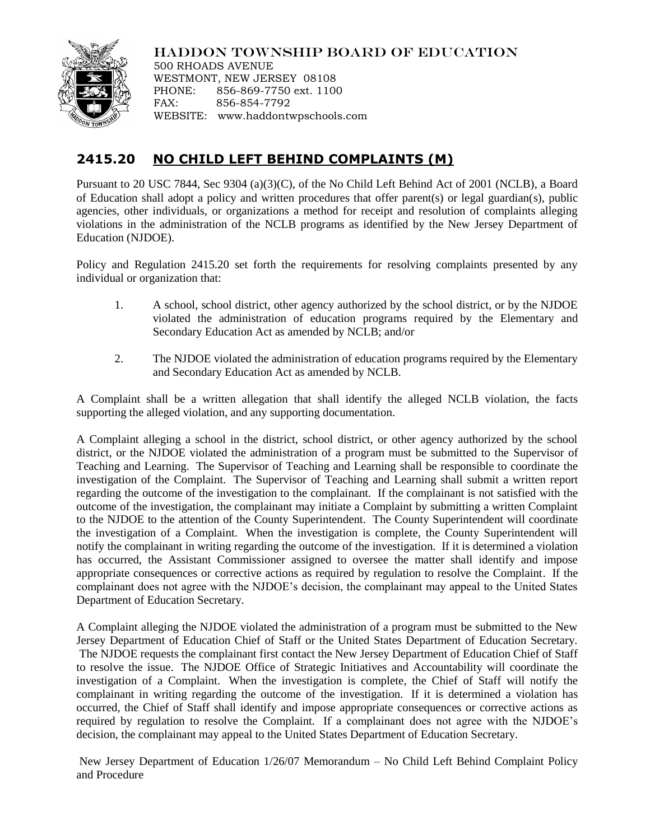

HADDON TOWNSHIP BOARD OF EDUCATION

500 RHOADS AVENUE WESTMONT, NEW JERSEY 08108 PHONE: 856-869-7750 ext. 1100 FAX: 856-854-7792 WEBSITE: www.haddontwpschools.com

## **2415.20 NO CHILD LEFT BEHIND COMPLAINTS (M)**

Pursuant to 20 USC 7844, Sec 9304 (a)(3)(C), of the No Child Left Behind Act of 2001 (NCLB), a Board of Education shall adopt a policy and written procedures that offer parent(s) or legal guardian(s), public agencies, other individuals, or organizations a method for receipt and resolution of complaints alleging violations in the administration of the NCLB programs as identified by the New Jersey Department of Education (NJDOE).

Policy and Regulation 2415.20 set forth the requirements for resolving complaints presented by any individual or organization that:

- 1. A school, school district, other agency authorized by the school district, or by the NJDOE violated the administration of education programs required by the Elementary and Secondary Education Act as amended by NCLB; and/or
- 2. The NJDOE violated the administration of education programs required by the Elementary and Secondary Education Act as amended by NCLB.

A Complaint shall be a written allegation that shall identify the alleged NCLB violation, the facts supporting the alleged violation, and any supporting documentation.

A Complaint alleging a school in the district, school district, or other agency authorized by the school district, or the NJDOE violated the administration of a program must be submitted to the Supervisor of Teaching and Learning. The Supervisor of Teaching and Learning shall be responsible to coordinate the investigation of the Complaint. The Supervisor of Teaching and Learning shall submit a written report regarding the outcome of the investigation to the complainant. If the complainant is not satisfied with the outcome of the investigation, the complainant may initiate a Complaint by submitting a written Complaint to the NJDOE to the attention of the County Superintendent. The County Superintendent will coordinate the investigation of a Complaint. When the investigation is complete, the County Superintendent will notify the complainant in writing regarding the outcome of the investigation. If it is determined a violation has occurred, the Assistant Commissioner assigned to oversee the matter shall identify and impose appropriate consequences or corrective actions as required by regulation to resolve the Complaint. If the complainant does not agree with the NJDOE's decision, the complainant may appeal to the United States Department of Education Secretary.

A Complaint alleging the NJDOE violated the administration of a program must be submitted to the New Jersey Department of Education Chief of Staff or the United States Department of Education Secretary. The NJDOE requests the complainant first contact the New Jersey Department of Education Chief of Staff to resolve the issue. The NJDOE Office of Strategic Initiatives and Accountability will coordinate the investigation of a Complaint. When the investigation is complete, the Chief of Staff will notify the complainant in writing regarding the outcome of the investigation. If it is determined a violation has occurred, the Chief of Staff shall identify and impose appropriate consequences or corrective actions as required by regulation to resolve the Complaint. If a complainant does not agree with the NJDOE's decision, the complainant may appeal to the United States Department of Education Secretary.

New Jersey Department of Education 1/26/07 Memorandum – No Child Left Behind Complaint Policy and Procedure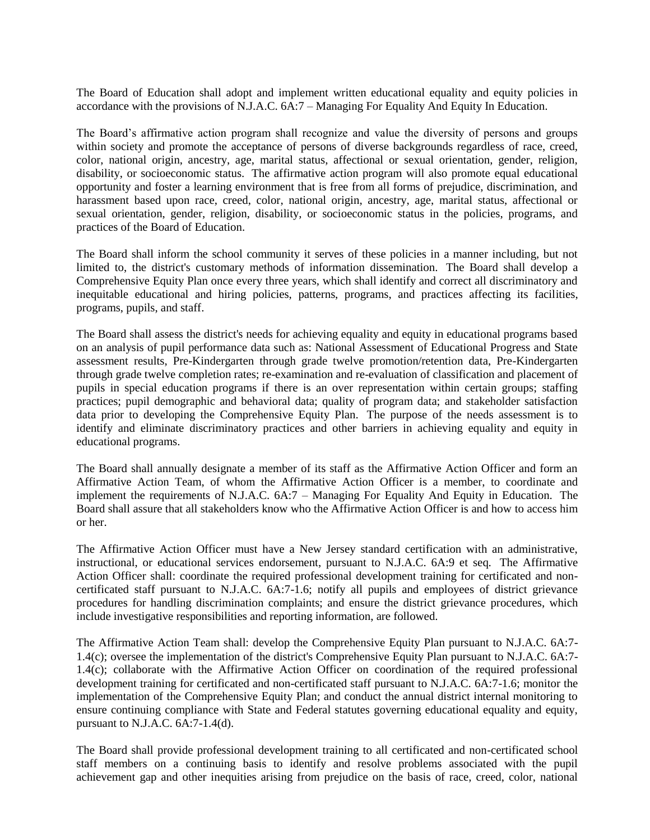The Board of Education shall adopt and implement written educational equality and equity policies in accordance with the provisions of N.J.A.C. 6A:7 – Managing For Equality And Equity In Education.

The Board's affirmative action program shall recognize and value the diversity of persons and groups within society and promote the acceptance of persons of diverse backgrounds regardless of race, creed, color, national origin, ancestry, age, marital status, affectional or sexual orientation, gender, religion, disability, or socioeconomic status. The affirmative action program will also promote equal educational opportunity and foster a learning environment that is free from all forms of prejudice, discrimination, and harassment based upon race, creed, color, national origin, ancestry, age, marital status, affectional or sexual orientation, gender, religion, disability, or socioeconomic status in the policies, programs, and practices of the Board of Education.

The Board shall inform the school community it serves of these policies in a manner including, but not limited to, the district's customary methods of information dissemination. The Board shall develop a Comprehensive Equity Plan once every three years, which shall identify and correct all discriminatory and inequitable educational and hiring policies, patterns, programs, and practices affecting its facilities, programs, pupils, and staff.

The Board shall assess the district's needs for achieving equality and equity in educational programs based on an analysis of pupil performance data such as: National Assessment of Educational Progress and State assessment results, Pre-Kindergarten through grade twelve promotion/retention data, Pre-Kindergarten through grade twelve completion rates; re-examination and re-evaluation of classification and placement of pupils in special education programs if there is an over representation within certain groups; staffing practices; pupil demographic and behavioral data; quality of program data; and stakeholder satisfaction data prior to developing the Comprehensive Equity Plan. The purpose of the needs assessment is to identify and eliminate discriminatory practices and other barriers in achieving equality and equity in educational programs.

The Board shall annually designate a member of its staff as the Affirmative Action Officer and form an Affirmative Action Team, of whom the Affirmative Action Officer is a member, to coordinate and implement the requirements of N.J.A.C. 6A:7 – Managing For Equality And Equity in Education. The Board shall assure that all stakeholders know who the Affirmative Action Officer is and how to access him or her.

The Affirmative Action Officer must have a New Jersey standard certification with an administrative, instructional, or educational services endorsement, pursuant to N.J.A.C. 6A:9 et seq. The Affirmative Action Officer shall: coordinate the required professional development training for certificated and noncertificated staff pursuant to N.J.A.C. 6A:7-1.6; notify all pupils and employees of district grievance procedures for handling discrimination complaints; and ensure the district grievance procedures, which include investigative responsibilities and reporting information, are followed.

The Affirmative Action Team shall: develop the Comprehensive Equity Plan pursuant to N.J.A.C. 6A:7- 1.4(c); oversee the implementation of the district's Comprehensive Equity Plan pursuant to N.J.A.C. 6A:7- 1.4(c); collaborate with the Affirmative Action Officer on coordination of the required professional development training for certificated and non-certificated staff pursuant to N.J.A.C. 6A:7-1.6; monitor the implementation of the Comprehensive Equity Plan; and conduct the annual district internal monitoring to ensure continuing compliance with State and Federal statutes governing educational equality and equity, pursuant to N.J.A.C. 6A:7-1.4(d).

The Board shall provide professional development training to all certificated and non-certificated school staff members on a continuing basis to identify and resolve problems associated with the pupil achievement gap and other inequities arising from prejudice on the basis of race, creed, color, national